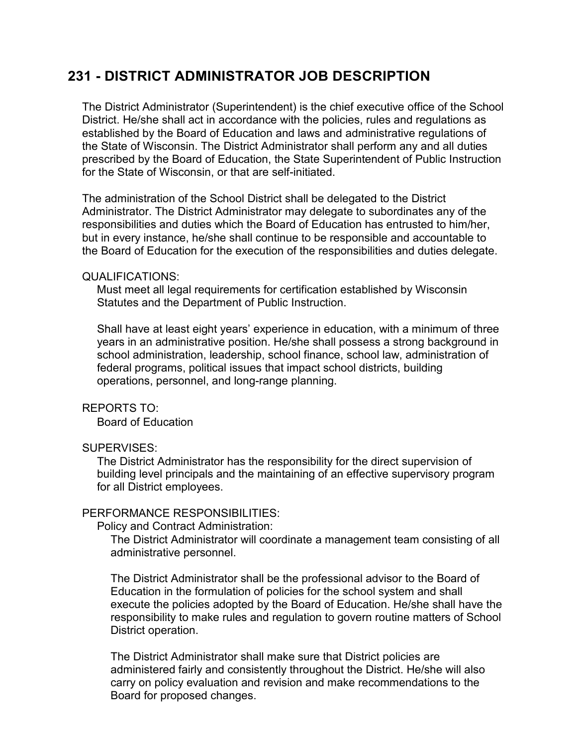# **231 - DISTRICT ADMINISTRATOR JOB DESCRIPTION**

The District Administrator (Superintendent) is the chief executive office of the School District. He/she shall act in accordance with the policies, rules and regulations as established by the Board of Education and laws and administrative regulations of the State of Wisconsin. The District Administrator shall perform any and all duties prescribed by the Board of Education, the State Superintendent of Public Instruction for the State of Wisconsin, or that are self-initiated.

The administration of the School District shall be delegated to the District Administrator. The District Administrator may delegate to subordinates any of the responsibilities and duties which the Board of Education has entrusted to him/her, but in every instance, he/she shall continue to be responsible and accountable to the Board of Education for the execution of the responsibilities and duties delegate.

#### QUALIFICATIONS:

Must meet all legal requirements for certification established by Wisconsin Statutes and the Department of Public Instruction.

Shall have at least eight years' experience in education, with a minimum of three years in an administrative position. He/she shall possess a strong background in school administration, leadership, school finance, school law, administration of federal programs, political issues that impact school districts, building operations, personnel, and long-range planning.

#### REPORTS TO:

Board of Education

## SUPERVISES:

The District Administrator has the responsibility for the direct supervision of building level principals and the maintaining of an effective supervisory program for all District employees.

#### PERFORMANCE RESPONSIBILITIES:

Policy and Contract Administration:

The District Administrator will coordinate a management team consisting of all administrative personnel.

The District Administrator shall be the professional advisor to the Board of Education in the formulation of policies for the school system and shall execute the policies adopted by the Board of Education. He/she shall have the responsibility to make rules and regulation to govern routine matters of School District operation.

The District Administrator shall make sure that District policies are administered fairly and consistently throughout the District. He/she will also carry on policy evaluation and revision and make recommendations to the Board for proposed changes.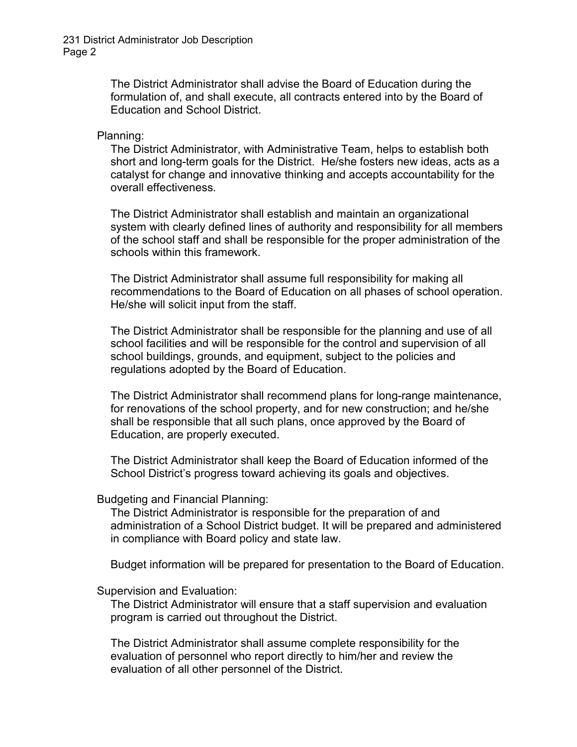The District Administrator shall advise the Board of Education during the formulation of, and shall execute, all contracts entered into by the Board of Education and School District.

#### Planning:

The District Administrator, with Administrative Team, helps to establish both short and long-term goals for the District. He/she fosters new ideas, acts as a catalyst for change and innovative thinking and accepts accountability for the overall effectiveness.

The District Administrator shall establish and maintain an organizational system with clearly defined lines of authority and responsibility for all members of the school staff and shall be responsible for the proper administration of the schools within this framework.

The District Administrator shall assume full responsibility for making all recommendations to the Board of Education on all phases of school operation. He/she will solicit input from the staff.

The District Administrator shall be responsible for the planning and use of all school facilities and will be responsible for the control and supervision of all school buildings, grounds, and equipment, subject to the policies and regulations adopted by the Board of Education.

The District Administrator shall recommend plans for long-range maintenance, for renovations of the school property, and for new construction; and he/she shall be responsible that all such plans, once approved by the Board of Education, are properly executed.

The District Administrator shall keep the Board of Education informed of the School District's progress toward achieving its goals and objectives.

#### Budgeting and Financial Planning:

The District Administrator is responsible for the preparation of and administration of a School District budget. It will be prepared and administered in compliance with Board policy and state law.

Budget information will be prepared for presentation to the Board of Education.

## Supervision and Evaluation:

The District Administrator will ensure that a staff supervision and evaluation program is carried out throughout the District.

The District Administrator shall assume complete responsibility for the evaluation of personnel who report directly to him/her and review the evaluation of all other personnel of the District.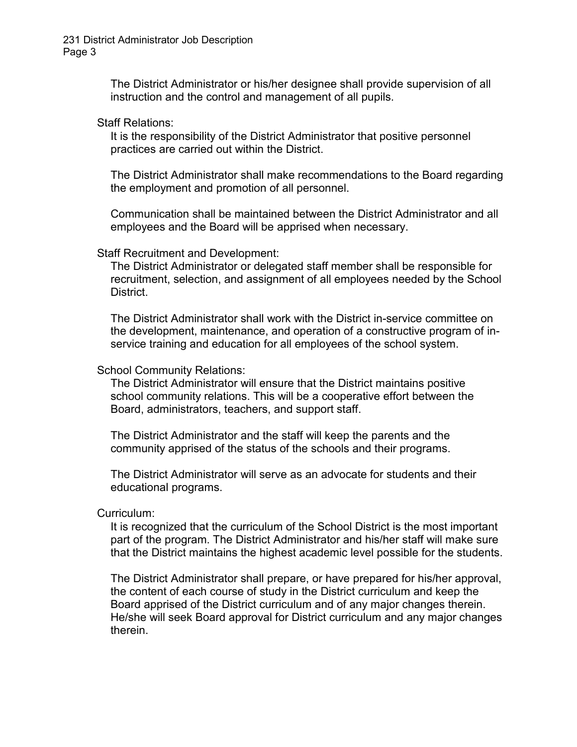The District Administrator or his/her designee shall provide supervision of all instruction and the control and management of all pupils.

Staff Relations:

It is the responsibility of the District Administrator that positive personnel practices are carried out within the District.

The District Administrator shall make recommendations to the Board regarding the employment and promotion of all personnel.

Communication shall be maintained between the District Administrator and all employees and the Board will be apprised when necessary.

Staff Recruitment and Development:

The District Administrator or delegated staff member shall be responsible for recruitment, selection, and assignment of all employees needed by the School District.

The District Administrator shall work with the District in-service committee on the development, maintenance, and operation of a constructive program of inservice training and education for all employees of the school system.

School Community Relations:

The District Administrator will ensure that the District maintains positive school community relations. This will be a cooperative effort between the Board, administrators, teachers, and support staff.

The District Administrator and the staff will keep the parents and the community apprised of the status of the schools and their programs.

The District Administrator will serve as an advocate for students and their educational programs.

Curriculum:

It is recognized that the curriculum of the School District is the most important part of the program. The District Administrator and his/her staff will make sure that the District maintains the highest academic level possible for the students.

The District Administrator shall prepare, or have prepared for his/her approval, the content of each course of study in the District curriculum and keep the Board apprised of the District curriculum and of any major changes therein. He/she will seek Board approval for District curriculum and any major changes therein.